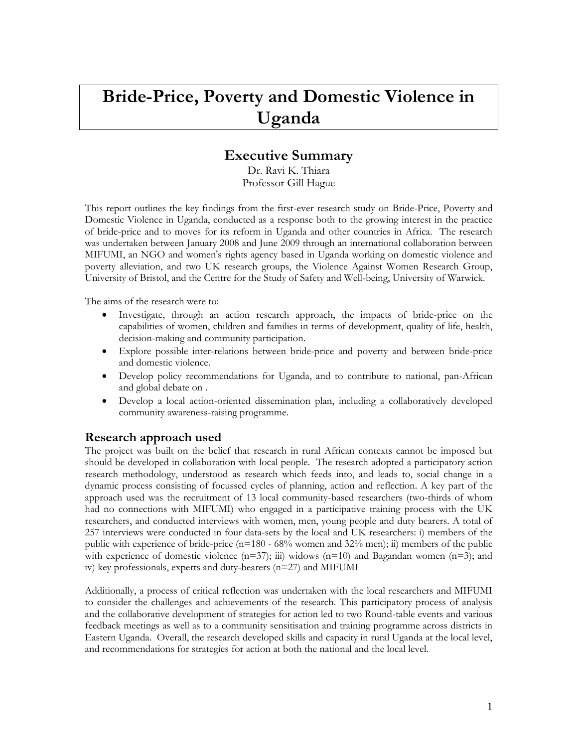# **Bride-Price, Poverty and Domestic Violence in Uganda**

# **Executive Summary**

Dr. Ravi K. Thiara Professor Gill Hague

This report outlines the key findings from the first-ever research study on Bride-Price, Poverty and Domestic Violence in Uganda, conducted as a response both to the growing interest in the practice of bride-price and to moves for its reform in Uganda and other countries in Africa. The research was undertaken between January 2008 and June 2009 through an international collaboration between MIFUMI, an NGO and women's rights agency based in Uganda working on domestic violence and poverty alleviation, and two UK research groups, the Violence Against Women Research Group, University of Bristol, and the Centre for the Study of Safety and Well-being, University of Warwick.

The aims of the research were to:

- Investigate, through an action research approach, the impacts of bride-price on the capabilities of women, children and families in terms of development, quality of life, health, decision-making and community participation.
- Explore possible inter-relations between bride-price and poverty and between bride-price and domestic violence.
- Develop policy recommendations for Uganda, and to contribute to national, pan-African and global debate on .
- Develop a local action-oriented dissemination plan, including a collaboratively developed community awareness-raising programme.

# **Research approach used**

The project was built on the belief that research in rural African contexts cannot be imposed but should be developed in collaboration with local people. The research adopted a participatory action research methodology, understood as research which feeds into, and leads to, social change in a dynamic process consisting of focussed cycles of planning, action and reflection. A key part of the approach used was the recruitment of 13 local community-based researchers (two-thirds of whom had no connections with MIFUMI) who engaged in a participative training process with the UK researchers, and conducted interviews with women, men, young people and duty bearers. A total of 257 interviews were conducted in four data-sets by the local and UK researchers: i) members of the public with experience of bride-price (n=180 - 68% women and 32% men); ii) members of the public with experience of domestic violence  $(n=37)$ ; iii) widows  $(n=10)$  and Bagandan women  $(n=3)$ ; and iv) key professionals, experts and duty-bearers (n=27) and MIFUMI

Additionally, a process of critical reflection was undertaken with the local researchers and MIFUMI to consider the challenges and achievements of the research. This participatory process of analysis and the collaborative development of strategies for action led to two Round-table events and various feedback meetings as well as to a community sensitisation and training programme across districts in Eastern Uganda. Overall, the research developed skills and capacity in rural Uganda at the local level, and recommendations for strategies for action at both the national and the local level.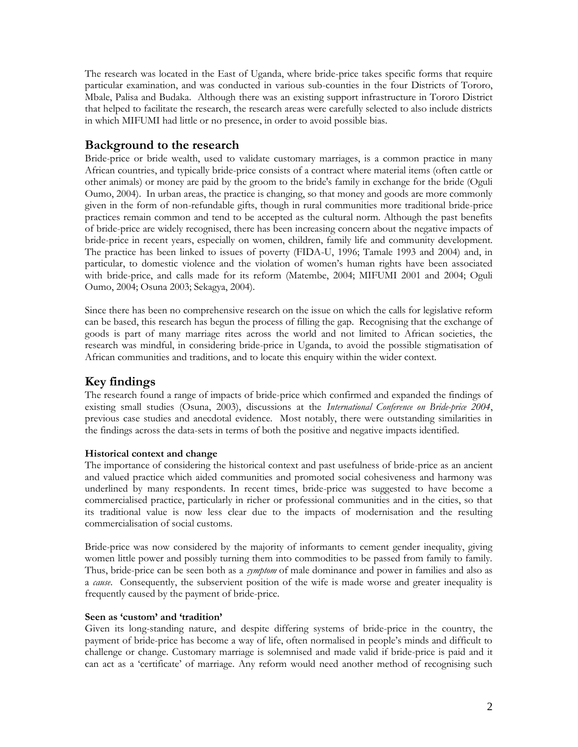The research was located in the East of Uganda, where bride-price takes specific forms that require particular examination, and was conducted in various sub-counties in the four Districts of Tororo, Mbale, Palisa and Budaka. Although there was an existing support infrastructure in Tororo District that helped to facilitate the research, the research areas were carefully selected to also include districts in which MIFUMI had little or no presence, in order to avoid possible bias.

# **Background to the research**

Bride-price or bride wealth, used to validate customary marriages, is a common practice in many African countries, and typically bride-price consists of a contract where material items (often cattle or other animals) or money are paid by the groom to the bride's family in exchange for the bride (Oguli Oumo, 2004). In urban areas, the practice is changing, so that money and goods are more commonly given in the form of non-refundable gifts, though in rural communities more traditional bride-price practices remain common and tend to be accepted as the cultural norm. Although the past benefits of bride-price are widely recognised, there has been increasing concern about the negative impacts of bride-price in recent years, especially on women, children, family life and community development. The practice has been linked to issues of poverty (FIDA-U, 1996; Tamale 1993 and 2004) and, in particular, to domestic violence and the violation of women's human rights have been associated with bride-price, and calls made for its reform (Matembe, 2004; MIFUMI 2001 and 2004; Oguli Oumo, 2004; Osuna 2003; Sekagya, 2004).

Since there has been no comprehensive research on the issue on which the calls for legislative reform can be based, this research has begun the process of filling the gap. Recognising that the exchange of goods is part of many marriage rites across the world and not limited to African societies, the research was mindful, in considering bride-price in Uganda, to avoid the possible stigmatisation of African communities and traditions, and to locate this enquiry within the wider context.

# **Key findings**

The research found a range of impacts of bride-price which confirmed and expanded the findings of existing small studies (Osuna, 2003), discussions at the *International Conference on Bride-price 2004*, previous case studies and anecdotal evidence. Most notably, there were outstanding similarities in the findings across the data-sets in terms of both the positive and negative impacts identified.

# **Historical context and change**

The importance of considering the historical context and past usefulness of bride-price as an ancient and valued practice which aided communities and promoted social cohesiveness and harmony was underlined by many respondents. In recent times, bride-price was suggested to have become a commercialised practice, particularly in richer or professional communities and in the cities, so that its traditional value is now less clear due to the impacts of modernisation and the resulting commercialisation of social customs.

Bride-price was now considered by the majority of informants to cement gender inequality, giving women little power and possibly turning them into commodities to be passed from family to family. Thus, bride-price can be seen both as a *symptom* of male dominance and power in families and also as a *cause*. Consequently, the subservient position of the wife is made worse and greater inequality is frequently caused by the payment of bride-price.

#### **Seen as 'custom' and 'tradition'**

Given its long-standing nature, and despite differing systems of bride-price in the country, the payment of bride-price has become a way of life, often normalised in people's minds and difficult to challenge or change. Customary marriage is solemnised and made valid if bride-price is paid and it can act as a 'certificate' of marriage. Any reform would need another method of recognising such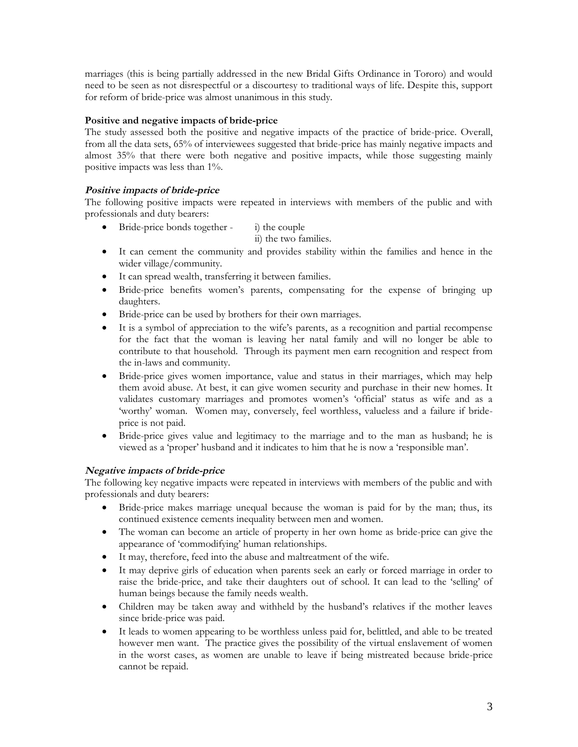marriages (this is being partially addressed in the new Bridal Gifts Ordinance in Tororo) and would need to be seen as not disrespectful or a discourtesy to traditional ways of life. Despite this, support for reform of bride-price was almost unanimous in this study.

#### **Positive and negative impacts of bride-price**

The study assessed both the positive and negative impacts of the practice of bride-price. Overall, from all the data sets, 65% of interviewees suggested that bride-price has mainly negative impacts and almost 35% that there were both negative and positive impacts, while those suggesting mainly positive impacts was less than 1%.

#### **Positive impacts of bride-price**

The following positive impacts were repeated in interviews with members of the public and with professionals and duty bearers:

• Bride-price bonds together - i) the couple

ii) the two families.

- It can cement the community and provides stability within the families and hence in the wider village/community.
- It can spread wealth, transferring it between families.
- Bride-price benefits women's parents, compensating for the expense of bringing up daughters.
- Bride-price can be used by brothers for their own marriages.
- It is a symbol of appreciation to the wife's parents, as a recognition and partial recompense for the fact that the woman is leaving her natal family and will no longer be able to contribute to that household. Through its payment men earn recognition and respect from the in-laws and community.
- Bride-price gives women importance, value and status in their marriages, which may help them avoid abuse. At best, it can give women security and purchase in their new homes. It validates customary marriages and promotes women's 'official' status as wife and as a 'worthy' woman. Women may, conversely, feel worthless, valueless and a failure if brideprice is not paid.
- Bride-price gives value and legitimacy to the marriage and to the man as husband; he is viewed as a 'proper' husband and it indicates to him that he is now a 'responsible man'.

# **Negative impacts of bride-price**

The following key negative impacts were repeated in interviews with members of the public and with professionals and duty bearers:

- Bride-price makes marriage unequal because the woman is paid for by the man; thus, its continued existence cements inequality between men and women.
- The woman can become an article of property in her own home as bride-price can give the appearance of 'commodifying' human relationships.
- It may, therefore, feed into the abuse and maltreatment of the wife.
- It may deprive girls of education when parents seek an early or forced marriage in order to raise the bride-price, and take their daughters out of school. It can lead to the 'selling' of human beings because the family needs wealth.
- Children may be taken away and withheld by the husband's relatives if the mother leaves since bride-price was paid.
- It leads to women appearing to be worthless unless paid for, belittled, and able to be treated however men want. The practice gives the possibility of the virtual enslavement of women in the worst cases, as women are unable to leave if being mistreated because bride-price cannot be repaid.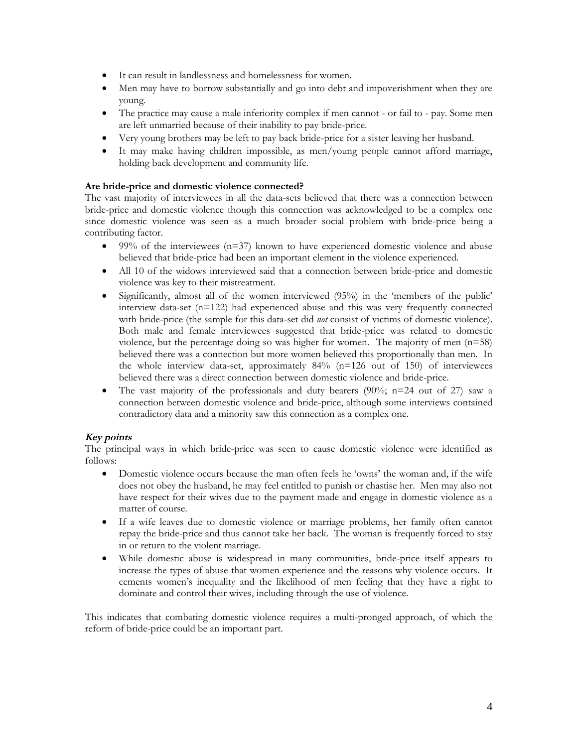- It can result in landlessness and homelessness for women.
- Men may have to borrow substantially and go into debt and impoverishment when they are young.
- The practice may cause a male inferiority complex if men cannot or fail to pay. Some men are left unmarried because of their inability to pay bride-price.
- Very young brothers may be left to pay back bride-price for a sister leaving her husband.
- It may make having children impossible, as men/young people cannot afford marriage, holding back development and community life*.*

#### **Are bride-price and domestic violence connected?**

The vast majority of interviewees in all the data-sets believed that there was a connection between bride-price and domestic violence though this connection was acknowledged to be a complex one since domestic violence was seen as a much broader social problem with bride-price being a contributing factor.

- $\bullet$  99% of the interviewees (n=37) known to have experienced domestic violence and abuse believed that bride-price had been an important element in the violence experienced.
- All 10 of the widows interviewed said that a connection between bride-price and domestic violence was key to their mistreatment.
- Significantly, almost all of the women interviewed (95%) in the 'members of the public' interview data-set (n=122) had experienced abuse and this was very frequently connected with bride-price (the sample for this data-set did *not* consist of victims of domestic violence). Both male and female interviewees suggested that bride-price was related to domestic violence, but the percentage doing so was higher for women. The majority of men (n=58) believed there was a connection but more women believed this proportionally than men. In the whole interview data-set, approximately 84% (n=126 out of 150) of interviewees believed there was a direct connection between domestic violence and bride-price.
- The vast majority of the professionals and duty bearers  $(90\%; n=24$  out of 27) saw a connection between domestic violence and bride-price, although some interviews contained contradictory data and a minority saw this connection as a complex one.

# **Key points**

The principal ways in which bride-price was seen to cause domestic violence were identified as follows:

- Domestic violence occurs because the man often feels he 'owns' the woman and, if the wife does not obey the husband, he may feel entitled to punish or chastise her. Men may also not have respect for their wives due to the payment made and engage in domestic violence as a matter of course.
- If a wife leaves due to domestic violence or marriage problems, her family often cannot repay the bride-price and thus cannot take her back. The woman is frequently forced to stay in or return to the violent marriage.
- While domestic abuse is widespread in many communities, bride-price itself appears to increase the types of abuse that women experience and the reasons why violence occurs. It cements women's inequality and the likelihood of men feeling that they have a right to dominate and control their wives, including through the use of violence.

This indicates that combating domestic violence requires a multi-pronged approach, of which the reform of bride-price could be an important part.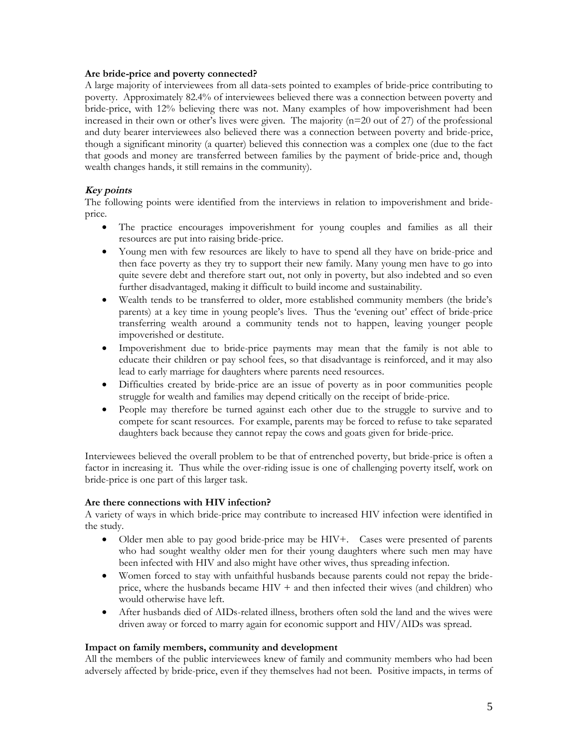#### **Are bride-price and poverty connected?**

A large majority of interviewees from all data-sets pointed to examples of bride-price contributing to poverty. Approximately 82.4% of interviewees believed there was a connection between poverty and bride-price, with 12% believing there was not. Many examples of how impoverishment had been increased in their own or other's lives were given. The majority  $(n=20 \text{ out of } 27)$  of the professional and duty bearer interviewees also believed there was a connection between poverty and bride-price, though a significant minority (a quarter) believed this connection was a complex one (due to the fact that goods and money are transferred between families by the payment of bride-price and, though wealth changes hands, it still remains in the community).

#### **Key points**

The following points were identified from the interviews in relation to impoverishment and brideprice.

- The practice encourages impoverishment for young couples and families as all their resources are put into raising bride-price.
- Young men with few resources are likely to have to spend all they have on bride-price and then face poverty as they try to support their new family. Many young men have to go into quite severe debt and therefore start out, not only in poverty, but also indebted and so even further disadvantaged, making it difficult to build income and sustainability.
- Wealth tends to be transferred to older, more established community members (the bride's parents) at a key time in young people's lives. Thus the 'evening out' effect of bride-price transferring wealth around a community tends not to happen, leaving younger people impoverished or destitute.
- Impoverishment due to bride-price payments may mean that the family is not able to educate their children or pay school fees, so that disadvantage is reinforced, and it may also lead to early marriage for daughters where parents need resources.
- Difficulties created by bride-price are an issue of poverty as in poor communities people struggle for wealth and families may depend critically on the receipt of bride-price.
- People may therefore be turned against each other due to the struggle to survive and to compete for scant resources. For example, parents may be forced to refuse to take separated daughters back because they cannot repay the cows and goats given for bride-price.

Interviewees believed the overall problem to be that of entrenched poverty, but bride-price is often a factor in increasing it. Thus while the over-riding issue is one of challenging poverty itself, work on bride-price is one part of this larger task.

#### **Are there connections with HIV infection?**

A variety of ways in which bride-price may contribute to increased HIV infection were identified in the study.

- Older men able to pay good bride-price may be HIV+. Cases were presented of parents who had sought wealthy older men for their young daughters where such men may have been infected with HIV and also might have other wives, thus spreading infection.
- Women forced to stay with unfaithful husbands because parents could not repay the brideprice, where the husbands became  $HIV +$  and then infected their wives (and children) who would otherwise have left.
- After husbands died of AIDs-related illness, brothers often sold the land and the wives were driven away or forced to marry again for economic support and HIV/AIDs was spread.

#### **Impact on family members, community and development**

All the members of the public interviewees knew of family and community members who had been adversely affected by bride-price, even if they themselves had not been. Positive impacts, in terms of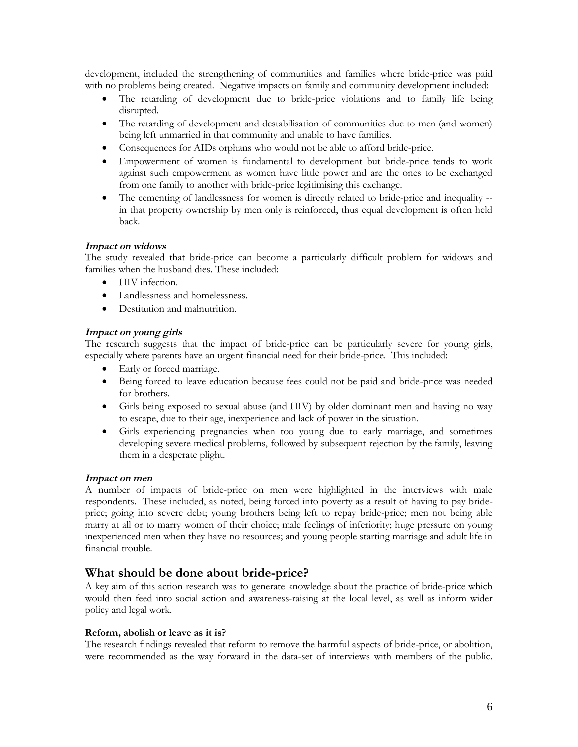development, included the strengthening of communities and families where bride-price was paid with no problems being created. Negative impacts on family and community development included:

- The retarding of development due to bride-price violations and to family life being disrupted.
- The retarding of development and destabilisation of communities due to men (and women) being left unmarried in that community and unable to have families.
- Consequences for AIDs orphans who would not be able to afford bride-price.
- Empowerment of women is fundamental to development but bride-price tends to work against such empowerment as women have little power and are the ones to be exchanged from one family to another with bride-price legitimising this exchange.
- The cementing of landlessness for women is directly related to bride-price and inequality -in that property ownership by men only is reinforced, thus equal development is often held back.

#### **Impact on widows**

The study revealed that bride-price can become a particularly difficult problem for widows and families when the husband dies. These included:

- HIV infection.
- Landlessness and homelessness.
- Destitution and malnutrition.

#### **Impact on young girls**

The research suggests that the impact of bride-price can be particularly severe for young girls, especially where parents have an urgent financial need for their bride-price. This included:

- Early or forced marriage.
- Being forced to leave education because fees could not be paid and bride-price was needed for brothers.
- Girls being exposed to sexual abuse (and HIV) by older dominant men and having no way to escape, due to their age, inexperience and lack of power in the situation.
- Girls experiencing pregnancies when too young due to early marriage, and sometimes developing severe medical problems, followed by subsequent rejection by the family, leaving them in a desperate plight.

#### **Impact on men**

A number of impacts of bride-price on men were highlighted in the interviews with male respondents. These included, as noted, being forced into poverty as a result of having to pay brideprice; going into severe debt; young brothers being left to repay bride-price; men not being able marry at all or to marry women of their choice; male feelings of inferiority; huge pressure on young inexperienced men when they have no resources; and young people starting marriage and adult life in financial trouble.

# **What should be done about bride-price?**

A key aim of this action research was to generate knowledge about the practice of bride-price which would then feed into social action and awareness-raising at the local level, as well as inform wider policy and legal work.

#### **Reform, abolish or leave as it is?**

The research findings revealed that reform to remove the harmful aspects of bride-price, or abolition, were recommended as the way forward in the data-set of interviews with members of the public.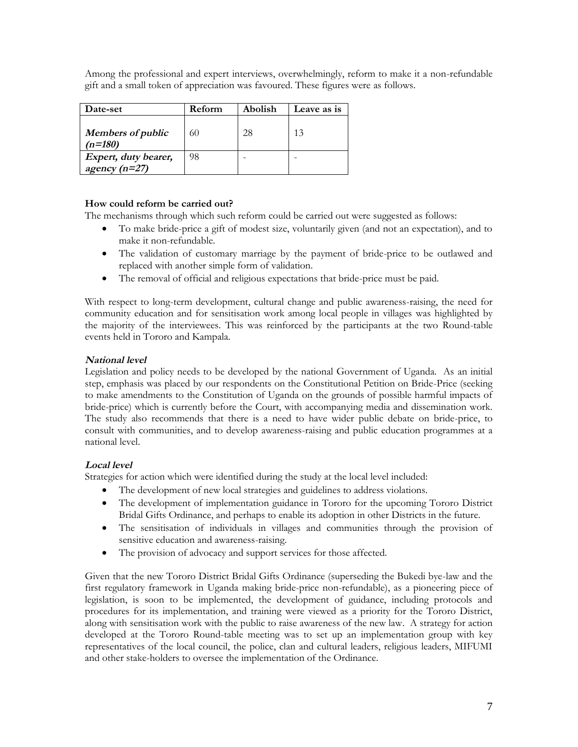Among the professional and expert interviews, overwhelmingly, reform to make it a non-refundable gift and a small token of appreciation was favoured. These figures were as follows.

| <b>Date-set</b>                         | Reform | Abolish | Leave as is |
|-----------------------------------------|--------|---------|-------------|
| <b>Members of public</b><br>$(n=180)$   | 60     | 28      | 13          |
| Expert, duty bearer,<br>agency $(n=27)$ | 98     |         |             |

#### **How could reform be carried out?**

The mechanisms through which such reform could be carried out were suggested as follows:

- To make bride-price a gift of modest size, voluntarily given (and not an expectation), and to make it non-refundable.
- The validation of customary marriage by the payment of bride-price to be outlawed and replaced with another simple form of validation.
- The removal of official and religious expectations that bride-price must be paid.

With respect to long-term development, cultural change and public awareness-raising, the need for community education and for sensitisation work among local people in villages was highlighted by the majority of the interviewees. This was reinforced by the participants at the two Round-table events held in Tororo and Kampala.

#### **National level**

Legislation and policy needs to be developed by the national Government of Uganda. As an initial step, emphasis was placed by our respondents on the Constitutional Petition on Bride-Price (seeking to make amendments to the Constitution of Uganda on the grounds of possible harmful impacts of bride-price) which is currently before the Court, with accompanying media and dissemination work. The study also recommends that there is a need to have wider public debate on bride-price, to consult with communities, and to develop awareness-raising and public education programmes at a national level.

#### **Local level**

Strategies for action which were identified during the study at the local level included:

- The development of new local strategies and guidelines to address violations.
- The development of implementation guidance in Tororo for the upcoming Tororo District Bridal Gifts Ordinance, and perhaps to enable its adoption in other Districts in the future.
- The sensitisation of individuals in villages and communities through the provision of sensitive education and awareness-raising.
- The provision of advocacy and support services for those affected.

Given that the new Tororo District Bridal Gifts Ordinance (superseding the Bukedi bye-law and the first regulatory framework in Uganda making bride-price non-refundable), as a pioneering piece of legislation, is soon to be implemented, the development of guidance, including protocols and procedures for its implementation, and training were viewed as a priority for the Tororo District, along with sensitisation work with the public to raise awareness of the new law. A strategy for action developed at the Tororo Round-table meeting was to set up an implementation group with key representatives of the local council, the police, clan and cultural leaders, religious leaders, MIFUMI and other stake-holders to oversee the implementation of the Ordinance.